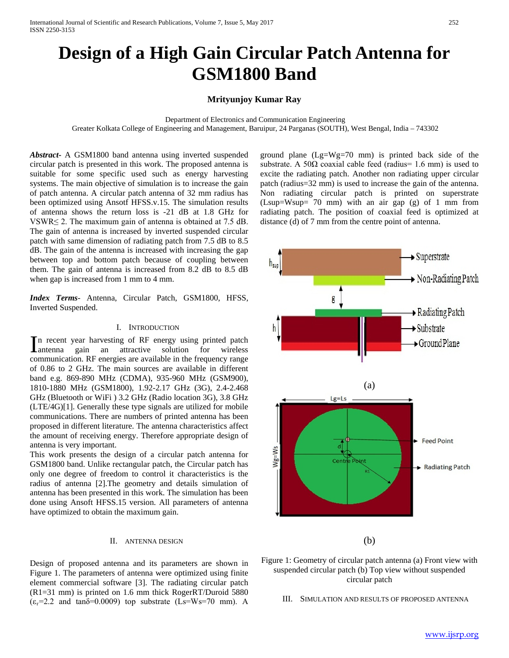# **Design of a High Gain Circular Patch Antenna for GSM1800 Band**

## **Mrityunjoy Kumar Ray**

Department of Electronics and Communication Engineering

Greater Kolkata College of Engineering and Management, Baruipur, 24 Parganas (SOUTH), West Bengal, India – 743302

*Abstract***-** A GSM1800 band antenna using inverted suspended circular patch is presented in this work. The proposed antenna is suitable for some specific used such as energy harvesting systems. The main objective of simulation is to increase the gain of patch antenna. A circular patch antenna of 32 mm radius has been optimized using Ansotf HFSS.v.15. The simulation results of antenna shows the return loss is -21 dB at 1.8 GHz for VSWR $\leq$  2. The maximum gain of antenna is obtained at 7.5 dB. The gain of antenna is increased by inverted suspended circular patch with same dimension of radiating patch from 7.5 dB to 8.5 dB. The gain of the antenna is increased with increasing the gap between top and bottom patch because of coupling between them. The gain of antenna is increased from 8.2 dB to 8.5 dB when gap is increased from 1 mm to 4 mm.

*Index Terms*- Antenna, Circular Patch, GSM1800, HFSS, Inverted Suspended.

#### I. INTRODUCTION

n recent year harvesting of RF energy using printed patch In recent year harvesting of RF energy using printed patch<br>
antenna gain an attractive solution for wireless communication. RF energies are available in the frequency range of 0.86 to 2 GHz. The main sources are available in different band e.g. 869-890 MHz (CDMA), 935-960 MHz (GSM900), 1810-1880 MHz (GSM1800), 1.92-2.17 GHz (3G), 2.4-2.468 GHz (Bluetooth or WiFi ) 3.2 GHz (Radio location 3G), 3.8 GHz (LTE/4G)[1]. Generally these type signals are utilized for mobile communications. There are numbers of printed antenna has been proposed in different literature. The antenna characteristics affect the amount of receiving energy. Therefore appropriate design of antenna is very important.

This work presents the design of a circular patch antenna for GSM1800 band. Unlike rectangular patch, the Circular patch has only one degree of freedom to control it characteristics is the radius of antenna [2].The geometry and details simulation of antenna has been presented in this work. The simulation has been done using Ansoft HFSS.15 version. All parameters of antenna have optimized to obtain the maximum gain.

#### II. ANTENNA DESIGN

Design of proposed antenna and its parameters are shown in Figure 1. The parameters of antenna were optimized using finite element commercial software [3]. The radiating circular patch (R1=31 mm) is printed on 1.6 mm thick RogerRT/Duroid 5880  $(\epsilon_r=2.2 \text{ and } \tan\delta=0.0009)$  top substrate (Ls=Ws=70 mm). A ground plane (Lg=Wg=70 mm) is printed back side of the substrate. A 50 $\Omega$  coaxial cable feed (radius= 1.6 mm) is used to excite the radiating patch. Another non radiating upper circular patch (radius=32 mm) is used to increase the gain of the antenna. Non radiating circular patch is printed on superstrate (Lsup=Wsup= 70 mm) with an air gap (g) of 1 mm from radiating patch. The position of coaxial feed is optimized at distance (d) of 7 mm from the centre point of antenna.





III. SIMULATION AND RESULTS OF PROPOSED ANTENNA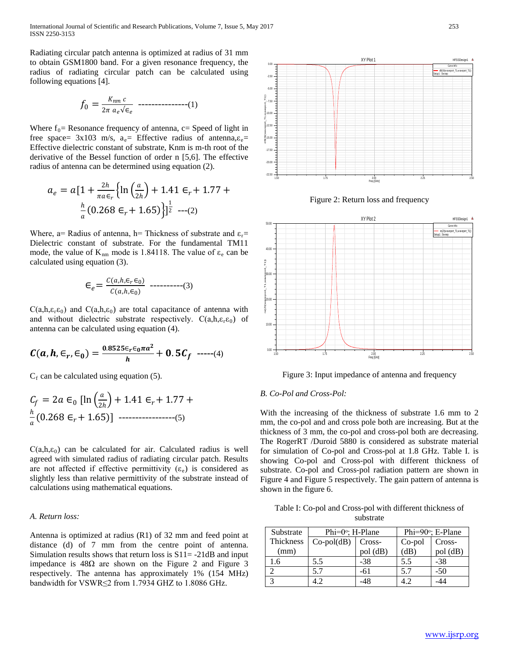International Journal of Scientific and Research Publications, Volume 7, Issue 5, May 2017 253 ISSN 2250-3153

Radiating circular patch antenna is optimized at radius of 31 mm to obtain GSM1800 band. For a given resonance frequency, the radius of radiating circular patch can be calculated using following equations [4].

$$
f_0 = \frac{K_{nm} c}{2\pi a_e \sqrt{\epsilon_e}} \quad \text{---}
$$
 (1)

Where  $f_0$  Resonance frequency of antenna, c Speed of light in free space=  $3x103$  m/s,  $a_e$ = Effective radius of antenna, $\varepsilon_e$ = Effective dielectric constant of substrate, Knm is m-th root of the derivative of the Bessel function of order n [5,6]. The effective radius of antenna can be determined using equation (2).

$$
a_e = a[1 + \frac{2h}{\pi a \epsilon_r} \left\{ \ln \left( \frac{a}{2h} \right) + 1.41 \epsilon_r + 1.77 + \frac{h}{a} (0.268 \epsilon_r + 1.65) \right\}^{\frac{1}{2}} \dots (2)
$$

Where, a= Radius of antenna, h= Thickness of substrate and  $\varepsilon_r$ = Dielectric constant of substrate. For the fundamental TM11 mode, the value of  $K_{nm}$  mode is 1.84118. The value of  $\varepsilon_e$  can be calculated using equation (3).

$$
\epsilon_e = \frac{C(a, h, \epsilon_r \epsilon_0)}{C(a, h, \epsilon_0)} \quad \dots \dots \dots \dots \dots \dots \dots (3)
$$

 $C(a,h,\varepsilon_{r}\varepsilon_{0})$  and  $C(a,h,\varepsilon_{0})$  are total capacitance of antenna with and without dielectric substrate respectively.  $C(a, h, \varepsilon_r \varepsilon_0)$  of antenna can be calculated using equation (4).

$$
C(a, h, \in_r, \in_0) = \frac{0.8525 \in_r \in_0 \pi a^2}{h} + 0.5C_f \ \cdots \cdots (4)
$$

 $C_f$  can be calculated using equation (5).

$$
C_f = 2a \in_0 [\ln \left(\frac{a}{2h}\right) + 1.41 \in_r + 1.77 + \frac{h}{a}(0.268 \in_r + 1.65)] \dots (5)
$$

 $C(a,h,\varepsilon_0)$  can be calculated for air. Calculated radius is well agreed with simulated radius of radiating circular patch. Results are not affected if effective permittivity  $(\varepsilon_e)$  is considered as slightly less than relative permittivity of the substrate instead of calculations using mathematical equations.

# *A. Return loss:*

Antenna is optimized at radius (R1) of 32 mm and feed point at distance (d) of 7 mm from the centre point of antenna. Simulation results shows that return loss is  $S11 = -21dB$  and input impedance is 48Ω are shown on the Figure 2 and Figure 3 respectively. The antenna has approximately 1% (154 MHz) bandwidth for VSWR≤2 from 1.7934 GHZ to 1.8086 GHz.



Figure 2: Return loss and frequency



Figure 3: Input impedance of antenna and frequency

## *B. Co-Pol and Cross-Pol:*

With the increasing of the thickness of substrate 1.6 mm to 2 mm, the co-pol and and cross pole both are increasing. But at the thickness of 3 mm, the co-pol and cross-pol both are decreasing. The RogerRT /Duroid 5880 is considered as substrate material for simulation of Co-pol and Cross-pol at 1.8 GHz. Table I. is showing Co-pol and Cross-pol with different thickness of substrate. Co-pol and Cross-pol radiation pattern are shown in Figure 4 and Figure 5 respectively. The gain pattern of antenna is shown in the figure 6.

Table I: Co-pol and Cross-pol with different thickness of substrate

| Substrate | Phi= $0^\circ$ ; H-Plane |          | Phi= $90^\circ$ ; E-Plane |         |  |
|-----------|--------------------------|----------|---------------------------|---------|--|
| Thickness | $Co-pol(dB)$             | Cross-   | Co-pol                    | Cross-  |  |
| (mm)      |                          | pol (dB) | (dB)                      | pol(dB) |  |
| 1.6       | 5.5                      | -38      | 5.5                       | $-38$   |  |
|           | 5.7                      | -61      | 5.7                       | $-50$   |  |
| っ         | 19                       |          | + 2                       |         |  |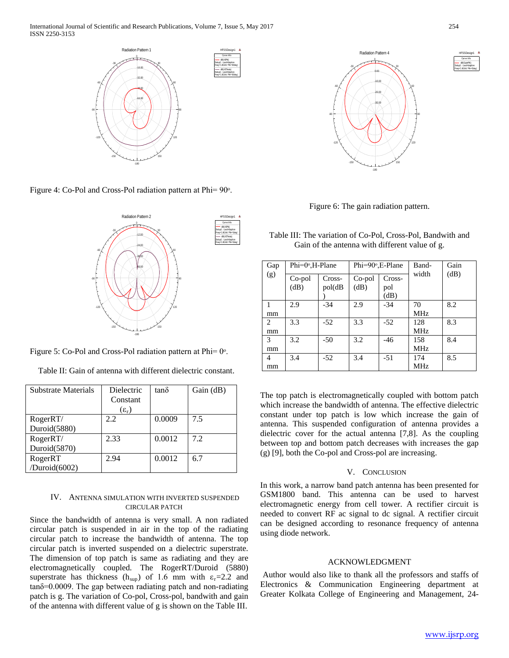

Figure 4: Co-Pol and Cross-Pol radiation pattern at Phi= 90<sup>o</sup>.



Figure 5: Co-Pol and Cross-Pol radiation pattern at Phi=  $0^\circ$ .

| Substrate Materials | Dielectric           | $tan\delta$ | Gain(dB) |
|---------------------|----------------------|-------------|----------|
|                     | Constant             |             |          |
|                     | $(\epsilon_{\rm r})$ |             |          |
| RogerRT/            | 2.2                  | 0.0009      | 7.5      |
| Duroid(5880)        |                      |             |          |
| RogerRT/            | 2.33                 | 0.0012      | 7.2      |
| Duroid(5870)        |                      |             |          |
| RogerRT             | 2.94                 | 0.0012      | 6.7      |
| /Duroid(6002)       |                      |             |          |

Table II: Gain of antenna with different dielectric constant.

## IV. ANTENNA SIMULATION WITH INVERTED SUSPENDED CIRCULAR PATCH

Since the bandwidth of antenna is very small. A non radiated circular patch is suspended in air in the top of the radiating circular patch to increase the bandwidth of antenna. The top circular patch is inverted suspended on a dielectric superstrate. The dimension of top patch is same as radiating and they are electromagnetically coupled. The RogerRT/Duroid (5880) superstrate has thickness (h<sub>sup</sub>) of 1.6 mm with  $\varepsilon_r$ =2.2 and tanδ=0.0009. The gap between radiating patch and non-radiating patch is g. The variation of Co-pol, Cross-pol, bandwith and gain of the antenna with different value of g is shown on the Table III.



Figure 6: The gain radiation pattern.

Table III: The variation of Co-Pol, Cross-Pol, Bandwith and Gain of the antenna with different value of g.

| Gap | Phi=0°,H-Plane |        | $Phi=90^\circ, E-Plane$ |        | Band-<br>width | Gain |
|-----|----------------|--------|-------------------------|--------|----------------|------|
| (g) | Co-pol         | Cross- | Co-pol                  | Cross- |                | (dB) |
|     | (dB)           | pol(dB | (dB)                    | pol    |                |      |
|     |                |        |                         | (dB)   |                |      |
| 1   | 2.9            | $-34$  | 2.9                     | $-34$  | 70             | 8.2  |
| mm  |                |        |                         |        | <b>MHz</b>     |      |
| 2   | 3.3            | $-52$  | 3.3                     | $-52$  | 128            | 8.3  |
| mm  |                |        |                         |        | MHz            |      |
| 3   | 3.2            | $-50$  | 3.2                     | $-46$  | 158            | 8.4  |
| mm  |                |        |                         |        | <b>MHz</b>     |      |
| 4   | 3.4            | $-52$  | 3.4                     | $-51$  | 174            | 8.5  |
| mm  |                |        |                         |        | <b>MHz</b>     |      |

The top patch is electromagnetically coupled with bottom patch which increase the bandwidth of antenna. The effective dielectric constant under top patch is low which increase the gain of antenna. This suspended configuration of antenna provides a dielectric cover for the actual antenna [7,8]. As the coupling between top and bottom patch decreases with increases the gap (g) [9], both the Co-pol and Cross-pol are increasing.

#### V. CONCLUSION

In this work, a narrow band patch antenna has been presented for GSM1800 band. This antenna can be used to harvest electromagnetic energy from cell tower. A rectifier circuit is needed to convert RF ac signal to dc signal. A rectifier circuit can be designed according to resonance frequency of antenna using diode network.

## ACKNOWLEDGMENT

Author would also like to thank all the professors and staffs of Electronics & Communication Engineering department at Greater Kolkata College of Engineering and Management, 24-

Curve Info dB(GainPhi) Setup1 : LastAdaptive Freq='1.8GHz' Phi='0deg'